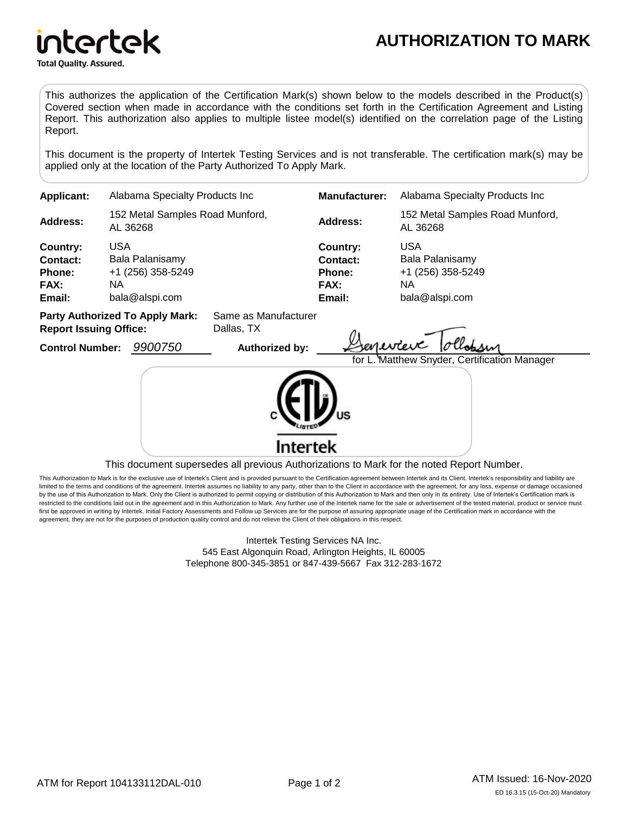

intertek **Total Quality. Assured.** 

This authorizes the application of the Certification Mark(s) shown below to the models described in the Product(s) Covered section when made in accordance with the conditions set forth in the Certification Agreement and Listing Report. This authorization also applies to multiple listee model(s) identified on the correlation page of the Listing Report.

This document is the property of Intertek Testing Services and is not transferable. The certification mark(s) may be applied only at the location of the Party Authorized To Apply Mark.

| <b>Applicant:</b>                                                                                             | Alabama Specialty Products Inc.                                             |                       | <b>Manufacturer:</b>                                           | Alabama Specialty Products Inc                                              |  |
|---------------------------------------------------------------------------------------------------------------|-----------------------------------------------------------------------------|-----------------------|----------------------------------------------------------------|-----------------------------------------------------------------------------|--|
| <b>Address:</b>                                                                                               | 152 Metal Samples Road Munford,<br>AL 36268                                 |                       | <b>Address:</b>                                                | 152 Metal Samples Road Munford,<br>AL 36268                                 |  |
| Country:<br>Contact:<br><b>Phone:</b><br><b>FAX:</b><br>Email:                                                | <b>USA</b><br>Bala Palanisamy<br>+1 (256) 358-5249<br>NA.<br>bala@alspi.com |                       | Country:<br>Contact:<br><b>Phone:</b><br><b>FAX:</b><br>Email: | <b>USA</b><br>Bala Palanisamy<br>+1 (256) 358-5249<br>NA.<br>bala@alspi.com |  |
| <b>Party Authorized To Apply Mark:</b><br>Same as Manufacturer<br><b>Report Issuing Office:</b><br>Dallas, TX |                                                                             |                       |                                                                |                                                                             |  |
| <b>Control Number:</b>                                                                                        | 9900750                                                                     | <b>Authorized by:</b> |                                                                | senevieve<br>for L. Matthew Snyder, Certification Manager                   |  |
|                                                                                                               |                                                                             |                       |                                                                |                                                                             |  |

This document supersedes all previous Authorizations to Mark for the noted Report Number.

Intertek

This Authorization to Mark is for the exclusive use of Intertek's Client and is provided pursuant to the Certification agreement between Intertek and its Client. Intertek's responsibility and liability are limited to the terms and conditions of the agreement. Intertek assumes no liability to any party, other than to the Client in accordance with the agreement, for any loss, expense or damage occasioned by the use of this Authorization to Mark. Only the Client is authorized to permit copying or distribution of this Authorization to Mark and then only in its entirety. Use of Intertek's Certification mark is restricted to the conditions laid out in the agreement and in this Authorization to Mark. Any further use of the Intertek name for the sale or advertisement of the tested material, product or service must first be approved in writing by Intertek. Initial Factory Assessments and Follow up Services are for the purpose of assuring appropriate usage of the Certification mark in accordance with the agreement, they are not for the purposes of production quality control and do not relieve the Client of their obligations in this respect.

> Intertek Testing Services NA Inc. 545 East Algonquin Road, Arlington Heights, IL 60005 Telephone 800-345-3851 or 847-439-5667 Fax 312-283-1672